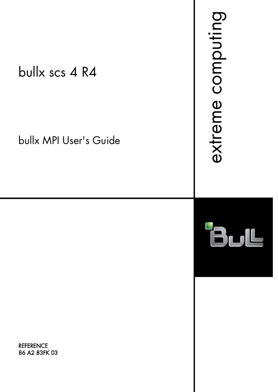

bullx MPI User's Guide

extreme computing extreme computing



**REFERENCE** 86 A2 83FK 03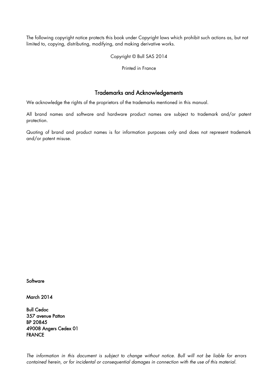The following copyright notice protects this book under Copyright laws which prohibit such actions as, but not limited to, copying, distributing, modifying, and making derivative works.

Copyright © Bull SAS 2014

Printed in France

### Trademarks and Acknowledgements

We acknowledge the rights of the proprietors of the trademarks mentioned in this manual.

All brand names and software and hardware product names are subject to trademark and/or patent protection.

Quoting of brand and product names is for information purposes only and does not represent trademark and/or patent misuse.

### **Software**

March 2014

Bull Cedoc 357 avenue Patton BP 20845 49008 Angers Cedex 01 **FRANCE** 

*The information in this document is subject to change without notice. Bull will not be liable for errors contained herein, or for incidental or consequential damages in connection with the use of this material.*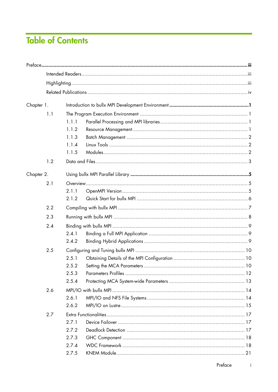# **Table of Contents**

| Chapter 1. |     |       |  |  |  |
|------------|-----|-------|--|--|--|
|            | 1.1 |       |  |  |  |
|            |     | 1.1.1 |  |  |  |
|            |     | 1.1.2 |  |  |  |
|            |     | 1.1.3 |  |  |  |
|            |     | 1.1.4 |  |  |  |
|            |     | 1.1.5 |  |  |  |
|            | 1.2 |       |  |  |  |
| Chapter 2. |     |       |  |  |  |
|            | 2.1 |       |  |  |  |
|            |     | 2.1.1 |  |  |  |
|            |     | 2.1.2 |  |  |  |
|            | 2.2 |       |  |  |  |
|            | 2.3 |       |  |  |  |
|            | 2.4 |       |  |  |  |
|            |     | 2.4.1 |  |  |  |
|            |     | 2.4.2 |  |  |  |
|            | 2.5 |       |  |  |  |
|            |     | 2.5.1 |  |  |  |
|            |     | 2.5.2 |  |  |  |
|            |     | 2.5.3 |  |  |  |
|            |     | 2.5.4 |  |  |  |
|            | 2.6 |       |  |  |  |
|            |     | 2.6.1 |  |  |  |
|            |     | 2.6.2 |  |  |  |
|            | 2.7 |       |  |  |  |
|            |     | 2.7.1 |  |  |  |
|            |     | 2.7.2 |  |  |  |
|            |     | 2.7.3 |  |  |  |
|            |     | 2.7.4 |  |  |  |
|            |     | 2.7.5 |  |  |  |
|            |     |       |  |  |  |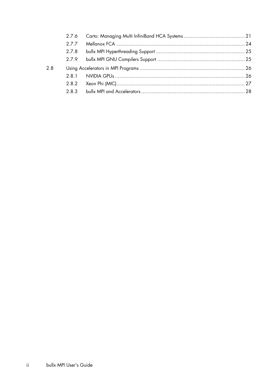|     | 2.7.6 |  |  |
|-----|-------|--|--|
|     | 277   |  |  |
|     | 2.7.8 |  |  |
|     |       |  |  |
| 2.8 |       |  |  |
|     |       |  |  |
|     | 2.8.2 |  |  |
|     | 2.8.3 |  |  |
|     |       |  |  |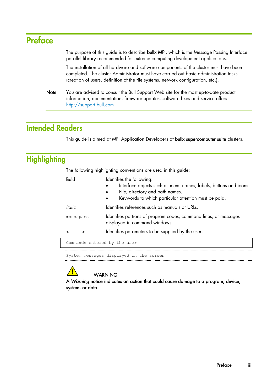# <span id="page-4-0"></span>**Preface**

|      | The purpose of this guide is to describe bullx MPI, which is the Message Passing Interface<br>parallel library recommended for extreme computing development applications.                                                                                           |  |  |  |  |
|------|----------------------------------------------------------------------------------------------------------------------------------------------------------------------------------------------------------------------------------------------------------------------|--|--|--|--|
|      | The installation of all hardware and software components of the cluster must have been<br>completed. The cluster Administrator must have carried out basic administration tasks<br>(creation of users, definition of the file systems, network configuration, etc.). |  |  |  |  |
| Note | You are advised to consult the Bull Support Web site for the most up-to-date product<br>information, documentation, firmware updates, software fixes and service offers:<br>http://support.bull.com                                                                  |  |  |  |  |
|      |                                                                                                                                                                                                                                                                      |  |  |  |  |

## <span id="page-4-1"></span>**Intended Readers**

This guide is aimed at MPI Application Developers of bullx supercomputer suite clusters.

<span id="page-4-2"></span>

| <b>Highlighting</b> |                                                                                                                 |                                                                                                                                                                                                                                                                                                                                                 |  |  |  |
|---------------------|-----------------------------------------------------------------------------------------------------------------|-------------------------------------------------------------------------------------------------------------------------------------------------------------------------------------------------------------------------------------------------------------------------------------------------------------------------------------------------|--|--|--|
|                     |                                                                                                                 | The following highlighting conventions are used in this guide:                                                                                                                                                                                                                                                                                  |  |  |  |
|                     | <b>Bold</b>                                                                                                     | Identifies the following:<br>Interface objects such as menu names, labels, buttons and icons.<br>File, directory and path names.<br>Keywords to which particular attention must be paid.<br>Identifies references such as manuals or URLs.<br>Identifies portions of program codes, command lines, or messages<br>displayed in command windows. |  |  |  |
|                     | Italic                                                                                                          |                                                                                                                                                                                                                                                                                                                                                 |  |  |  |
|                     | monospace                                                                                                       |                                                                                                                                                                                                                                                                                                                                                 |  |  |  |
|                     | $\prec$<br>$\geq$                                                                                               | Identifies parameters to be supplied by the user.                                                                                                                                                                                                                                                                                               |  |  |  |
|                     | Commands entered by the user                                                                                    |                                                                                                                                                                                                                                                                                                                                                 |  |  |  |
|                     | the contract of the contract of the contract of the contract of the contract of the contract of the contract of |                                                                                                                                                                                                                                                                                                                                                 |  |  |  |

System messages displayed on the screen



### **WARNING**

A *Warning* notice indicates an action that could cause damage to a program, device, system, or data.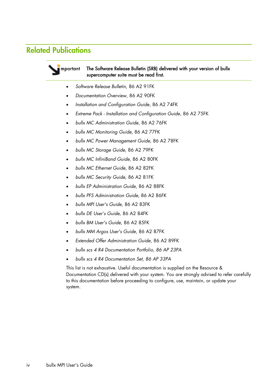## <span id="page-5-0"></span>**Related Publications**

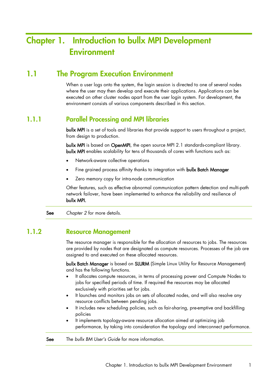# <span id="page-6-0"></span>**Chapter 1. Introduction to bullx MPI Development Environment**

## <span id="page-6-1"></span>**1.1 The Program Execution Environment**

When a user logs onto the system, the login session is directed to one of several nodes where the user may then develop and execute their applications. Applications can be executed on other cluster nodes apart from the user login system. For development, the environment consists of various components described in this section.

## <span id="page-6-2"></span>**1.1.1 Parallel Processing and MPI libraries**

bullx MPI is a set of tools and libraries that provide support to users throughout a project, from design to production.

bullx MPI is based on OpenMPI, the open source MPI 2.1 standards-compliant library. bullx MPI enables scalability for tens of thousands of cores with functions such as:

- Network-aware collective operations
- Fine grained process affinity thanks to integration with bullx Batch Manager
- Zero memory copy for intra-node communication

Other features, such as effective abnormal communication pattern detection and multi-path network failover, have been implemented to enhance the reliability and resilience of bullx MPI.

See *[Chapter 2](#page-10-0)* for more details.

## <span id="page-6-3"></span>**1.1.2 Resource Management**

The resource manager is responsible for the allocation of resources to jobs. The resources are provided by nodes that are designated as compute resources. Processes of the job are assigned to and executed on these allocated resources.

bullx Batch Manager is based on SLURM (Simple Linux Utility for Resource Management) and has the following functions.

- It allocates compute resources, in terms of processing power and Compute Nodes to jobs for specified periods of time. If required the resources may be allocated exclusively with priorities set for jobs.
- It launches and monitors jobs on sets of allocated nodes, and will also resolve any resource conflicts between pending jobs.
- It includes new scheduling policies, such as fair-sharing, pre-emptive and backfilling policies
- It implements topology-aware resource allocation aimed at optimizing job performance, by taking into consideration the topology and interconnect performance.

See The *bullx BM User's Guide* for more information.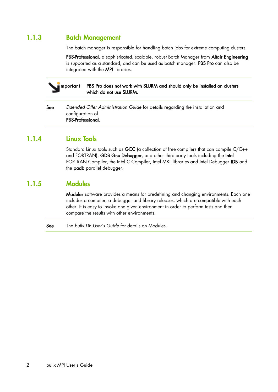## <span id="page-7-0"></span>**1.1.3 Batch Management**

The batch manager is responsible for handling batch jobs for extreme computing clusters.

PBS-Professional, a sophisticated, scalable, robust Batch Manager from Altair Engineering is supported as a standard, and can be used as batch manager. PBS Pro can also be integrated with the MPI libraries.

### mportant PBS Pro does not work with SLURM and should only be installed on clusters which do not use SLURM.

See *Extended Offer Administration Guide* for details regarding the installation and configuration of PBS-Professional.

## <span id="page-7-1"></span>**1.1.4 Linux Tools**

Standard Linux tools such as GCC (a collection of free compilers that can compile C/C++ and FORTRAN), GDB Gnu Debugger, and other third-party tools including the Intel FORTRAN Compiler, the Intel C Compiler, Intel MKL libraries and Intel Debugger IDB and the padb parallel debugger.

## <span id="page-7-2"></span>**1.1.5 Modules**

Modules software provides a means for predefining and changing environments. Each one includes a compiler, a debugger and library releases, which are compatible with each other. It is easy to invoke one given environment in order to perform tests and then compare the results with other environments.

See The *bullx DE User's Guide* for details on Modules.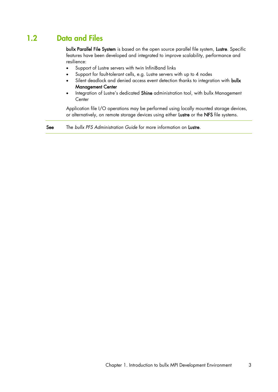## <span id="page-8-0"></span>**1.2 Data and Files**

bullx Parallel File System is based on the open source parallel file system, Lustre. Specific features have been developed and integrated to improve scalability, performance and resilience:

- Support of Lustre servers with twin InfiniBand links
- Support for fault-tolerant cells, e.g. Lustre servers with up to 4 nodes
- Silent deadlock and denied access event detection thanks to integration with **bullx** Management Center
- Integration of Lustre's dedicated Shine administration tool, with bullx Management **Center**

Application file I/O operations may be performed using locally mounted storage devices, or alternatively, on remote storage devices using either Lustre or the NFS file systems.

See The *bullx PFS Administration Guide* for more information on Lustre.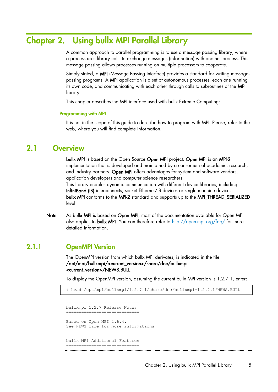## <span id="page-10-0"></span>**Chapter 2. Using bullx MPI Parallel Library**

A common approach to parallel programming is to use a message passing library, where a process uses library calls to exchange messages (information) with another process. This message passing allows processes running on multiple processors to cooperate.

Simply stated, a MPI (Message Passing Interface) provides a standard for writing messagepassing programs. A MPI application is a set of autonomous processes, each one running its own code, and communicating with each other through calls to subroutines of the MPI library.

This chapter describes the MPI interface used with bullx Extreme Computing:

#### **Programming with MPI**

It is not in the scope of this guide to describe how to program with MPI. Please, refer to the web, where you will find complete information.

## <span id="page-10-1"></span>**2.1 Overview**

bullx MPI is based on the Open Source Open MPI project. Open MPI is an MPI-2 implementation that is developed and maintained by a consortium of academic, research, and industry partners. Open MPI offers advantages for system and software vendors, application developers and computer science researchers.

This library enables dynamic communication with different device libraries, including InfiniBand (IB) interconnects, socket Ethernet/IB devices or single machine devices. bullx MPI conforms to the MPI-2 standard and supports up to the MPI\_THREAD\_SERIALIZED level.

Note As bullx MPI is based on Open MPI, most of the documentation available for Open MPI also applies to bullx MPI. You can therefore refer to<http://open-mpi.org/faq/> for more detailed information.

### <span id="page-10-2"></span>**2.1.1 OpenMPI Version**

The OpenMPI version from which bullx MPI derivates, is indicated in the file /opt/mpi/bullxmpi/<current\_version>/share/doc/bullxmpi- <current\_version>/NEWS.BULL.

To display the OpenMPI version, assuming the current bullx MPI version is 1.2.7.1, enter:

# head /opt/mpi/bullxmpi/1.2.7.1/share/doc/bullxmpi-1.2.7.1/NEWS.BULL

```
=============================
bullxmpi 1.2.7 Release Notes
==============================
Based on Open MPI 1.6.4.
See NEWS file for more informations
bullx MPI Additional Features
=============================
```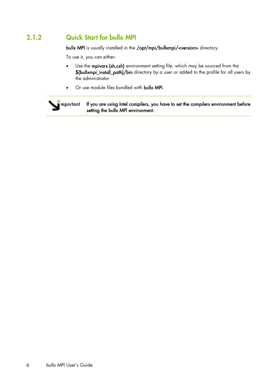## <span id="page-11-0"></span>**2.1.2 Quick Start for bullx MPI**

bullx MPI is usually installed in the /opt/mpi/bullxmpi/<version> directory.

To use it, you can either:

- Use the mpivars. {sh, csh} environment setting file, which may be sourced from the \${bullxmpi\_install\_path}/bin directory by a user or added to the profile for all users by the administrator
- Or use module files bundled with bullx MPI.

### mportant If you are using Intel compilers, you have to set the compilers environment before setting the bullx MPI environment.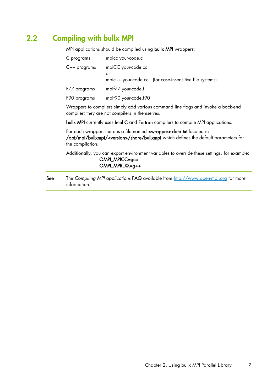## <span id="page-12-0"></span>**2.2 Compiling with bullx MPI**

MPI applications should be compiled using bullx MPI wrappers:

| C programs     | mpicc your-code.c                                                                   |
|----------------|-------------------------------------------------------------------------------------|
| $C++$ programs | mpiCC your-code.cc<br>or<br>mpic++ your-code.cc (for case-insensitive file systems) |
| F77 programs   | mpif77 your-code.f                                                                  |
| F90 programs   | mpif90 your-code.f90                                                                |

Wrappers to compilers simply add various command line flags and invoke a back-end compiler; they are not compilers in themselves.

bullx MPI currently uses Intel C and Fortran compilers to compile MPI applications.

For each wrapper, there is a file named <wrapper>-data.txt located in /opt/mpi/bullxmpi/<version>/share/bullxmpi which defines the default parameters for the compilation.

Additionally, you can export environment variables to override these settings, for example:

### OMPI\_MPICC=gcc OMPI\_MPICXX=g++

See The *Compiling MPI applications* FAQ available from [http://www.open-mpi.org](http://www.open-mpi.org/) for more information.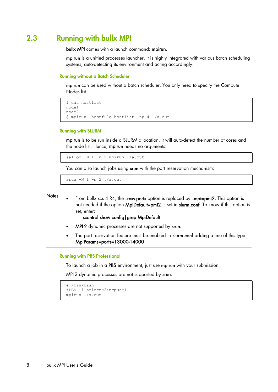## <span id="page-13-0"></span>**2.3 Running with bullx MPI**

bullx MPI comes with a launch command: mpirun.

mpirun is a unified processes launcher. It is highly integrated with various batch scheduling systems, auto-detecting its environment and acting accordingly.

### **Running without a Batch Scheduler**

mpirun can be used without a batch scheduler. You only need to specify the Compute Nodes list:

```
$ cat hostlist
node1
node2
$ mpirun -hostfile hostlist -np 4 ./a.out
```
### **Running with SLURM**

mpirun is to be run inside a SLURM allocation. It will auto-detect the number of cores and the node list. Hence, mpirun needs no arguments.

salloc -N 1 -n 2 mpirun ./a.out

You can also launch jobs using srun with the port reservation mechanism:

srun -N 1 -n 2 ./a.out

### **Notes**

From bullx scs 4 R4, the -resv-ports option is replaced by -mpi=pmi2. This option is not needed if the option MpiDefault=pmi2 is set in slurm.conf. To know if this option is set, enter:

### scontrol show config|grep MpiDefault

- MPI-2 dynamic processes are not supported by srun.
- The port reservation feature must be enabled in slurm.conf adding a line of this type: MpiParams=ports=13000-14000

#### **Running with PBS Professional**

To launch a job in a PBS environment, just use mpirun with your submission:

MPI-2 dynamic processes are not supported by srun.

```
#!/bin/bash
#PBS -l select=2:ncpus=1
mpirun ./a.out
```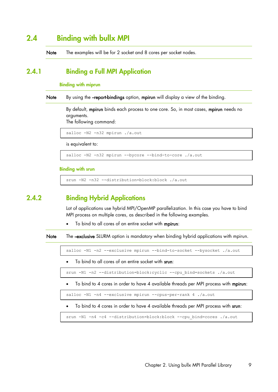## <span id="page-14-0"></span>**2.4 Binding with bullx MPI**

Note The examples will be for 2 socket and 8 cores per socket nodes.

## <span id="page-14-1"></span>**2.4.1 Binding a Full MPI Application**

#### **Binding with miprun**

Note By using the -report-bindings option, mpirun will display a view of the binding.

By default, mpirun binds each process to one core. So, in most cases, mpirun needs no arguments.

The following command:

salloc -N2 -n32 mpirun ./a.out

is equivalent to:

salloc -N2 -n32 mpirun --bycore --bind-to-core ./a.out

#### **Binding with srun**

srun -N2 -n32 --distribution=block:block ./a.out

## <span id="page-14-2"></span>**2.4.2 Binding Hybrid Applications**

Lot of applications use hybrid MPI/OpenMP parallelization. In this case you have to bind MPI process on multiple cores, as described in the following examples.

To bind to all cores of an entire socket with mpirun:

Note The -exclusive SLURM option is mandatory when binding hybrid applications with mpirun.

salloc -N1 -n2 --exclusive mpirun --bind-to-socket --bysocket ./a.out

To bind to all cores of an entire socket with srun:

srun -N1 -n2 --distribution=block:cyclic --cpu bind=sockets ./a.out

To bind to 4 cores in order to have 4 available threads per MPI process with mpirun:

salloc -N1 -n4 --exclusive mpirun --cpus-per-rank 4 ./a.out

• To bind to 4 cores in order to have 4 available threads per MPI process with srun:

srun -N1 -n4 -c4 --distribution=block:block --cpu\_bind=cores ./a.out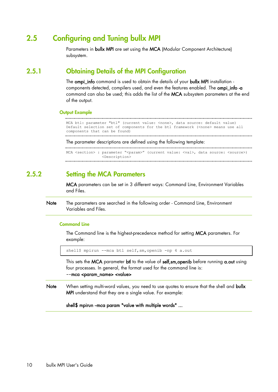## <span id="page-15-0"></span>**2.5 Configuring and Tuning bullx MPI**

Parameters in bullx MPI are set using the MCA (Modular Component Architecture) subsystem.

## <span id="page-15-1"></span>**2.5.1 Obtaining Details of the MPI Configuration**

The ompi\_info command is used to obtain the details of your bullx MPI installation components detected, compilers used, and even the features enabled. The ompi\_info -a command can also be used; this adds the list of the MCA subsystem parameters at the end of the output.

### **Output Example**

```
MCA btl: parameter "btl" (current value: <none>, data source: default value)
Default selection set of components for the btl framework (<none> means use all
components that can be found)
```
The parameter descriptions are defined using the following template:

```
MCA <section> : parameter "<param>" (current value: <val>, data source: <source>)
            <Description>
         ..............................
```
## <span id="page-15-2"></span>**2.5.2 Setting the MCA Parameters**

MCA parameters can be set in 3 different ways: Command Line, Environment Variables and Files.

Note The parameters are searched in the following order - Command Line, Environment Variables and Files.

### **Command Line**

The Command line is the highest-precedence method for setting MCA parameters. For example:

shell\$ mpirun --mca btl self, sm, openib -np 4 a.out

This sets the MCA parameter btl to the value of self, sm, openib before running a.out using four processes. In general, the format used for the command line is: **--**mca <param\_name> <value>

Note When setting multi-word values, you need to use quotes to ensure that the shell and bullx MPI understand that they are a single value. For example:

### shell\$ mpirun -mca param "value with multiple words" ...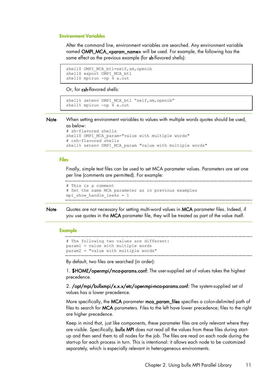### **Environment Variables**

After the command line, environment variables are searched. Any environment variable named OMPI\_MCA\_<param\_name> will be used. For example, the following has the same effect as the previous example (for sh-flavored shells):

```
shell$ OMPI MCA btl=self, sm, openib
shell$ export OMPI MCA btl
shell$ mpirun -np \overline{4} a.out
```
Or, for csh-flavored shells:

```
shell% setenv OMPI MCA btl "self, sm, openib"
shell% mpirun -np \frac{1}{4} a.out
```
Note When setting environment variables to values with multiple words quotes should be used, as below:

```
# sh-flavored shells
shell$ OMPI MCA param="value with multiple words"
# csh-flavored shells
shell% setenv OMPI MCA param "value with multiple words"
```
#### **Files**

Finally, simple text files can be used to set MCA parameter values. Parameters are set one per line (comments are permitted). For example:

```
# This is a comment
# Set the same MCA parameter as in previous examples
mpi show handle leaks = 1
```
Note Guotes are not necessary for setting multi-word values in MCA parameter files. Indeed, if you use quotes in the MCA parameter file, they will be treated as part of the value itself.

#### **Example**

```
# The following two values are different:
param1 = value with multiple words
param2 = "value with multiple words"
```
By default, two files are searched (in order):

1. \$HOME/openmpi/mca-params.conf: The user-supplied set of values takes the highest precedence.

2. /opt/mpi/bullxmpi/x.x.x/etc/openmpi-mca-params.conf: The system-supplied set of values has a lower precedence.

More specifically, the MCA parameter mca\_param\_files specifies a colon-delimited path of files to search for MCA parameters. Files to the left have lower precedence; files to the right are higher precedence.

Keep in mind that, just like components, these parameter files are only relevant where they are visible. Specifically, bullx MPI does not read all the values from these files during startup and then send them to all nodes for the job. The files are read on each node during the start-up for each process in turn. This is intentional: it allows each node to be customized separately, which is especially relevant in heterogeneous environments.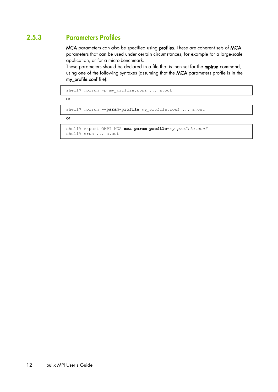## <span id="page-17-0"></span>**2.5.3 Parameters Profiles**

MCA parameters can also be specified using profiles. These are coherent sets of MCA parameters that can be used under certain circumstances, for example for a large-scale application, or for a micro-benchmark.

These parameters should be declared in a file that is then set for the mpirun command, using one of the following syntaxes (assuming that the MCA parameters profile is in the my\_profile.conf file):

```
shell$ mpirun -p my_profile.conf ... a.out
```
or

```
shell$ mpirun --param-profile my_profile.conf ... a.out
```
or

```
shell% export OMPI_MCA_mca_param_profile=my_profile.conf
shell% srun ... a.out
```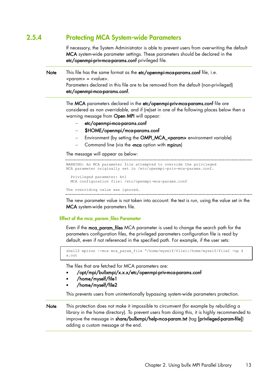## <span id="page-18-0"></span>**2.5.4 Protecting MCA System-wide Parameters**

If necessary, the System Administrator is able to prevent users from overwriting the default MCA system-wide parameter settings. These parameters should be declared in the etc/openmpi-priv-mca-params.conf privileged file.

Note This file has the same format as the etc/openmpi-mca-params.conf file, i.e. <param> = <value>. Parameters declared in this file are to be removed from the default (non-privileged) etc/openmpi-mca-params.conf.

> The MCA parameters declared in the etc/openmpi-priv-mca-params.conf file are considered as *non overridable*, and if (re)set in one of the following places below then a warning message from Open MPI will appear:

- etc/openmpi-mca-params.conf
- \$HOME/openmpi/mca-params.conf
- Environment (by setting the OMPI\_MCA\_<param> environment variable)
- Command line (via the -mca option with mpirun)

The message will appear as below:

```
WARNING: An MCA parameter file attempted to override the privileged
MCA parameter originally set in /etc/openmpi-priv-mca-params.conf.
   Privileged parameter: btl
   MCA configuration file: /etc/openmpi-mca-params.conf
```
The overriding value was ignored. 

The new parameter value is not taken into account: the test is run, using the value set in the MCA system-wide parameters file.

### **Effect of the mca\_param\_files Parameter**

Even if the mca\_param\_files MCA parameter is used to change the search path for the parameters configuration files, the privileged parameters configuration file is read by default, even if not referenced in the specified path. For example, if the user sets:

```
shell$ mpirun --mca mca param file "/home/myself/file1:/home/myself/file2 -np 4
a.out
```
The files that are fetched for MCA parameters are:

- /opt/mpi/bullxmpi/x.x.x/etc/openmpi-priv-mca-params.conf
- /home/myself/file1
- /home/myself/file2

This prevents users from unintentionally bypassing system-wide parameters protection.

Note This protection does not make it impossible to circumvent (for example by rebuilding a library in the home directory). To prevent users from doing this, it is highly recommended to improve the message in share/bullxmpi/help-mca-param.txt (tag [privileged-param-file]) adding a custom message at the end.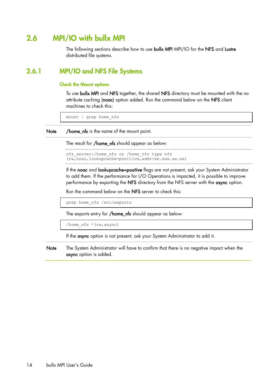## <span id="page-19-0"></span>**2.6 MPI/IO with bullx MPI**

The following sections describe how to use bullx MPI MPI/IO for the NFS and Lustre distributed file systems.

## <span id="page-19-1"></span>**2.6.1 MPI/IO and NFS File Systems**

### **Check the Mount options**

To use bullx MPI and NFS together, the shared NFS directory must be mounted with the no attribute caching (noac) option added. Run the command below on the NFS client machines to check this:

mount | grep home\_nfs

Note /home\_nfs is the name of the mount point.

The result for /home\_nfs should appear as below:

```
nfs server:/home nfs on /home nfs type nfs
(rw,noac,lookupcache=positive,addr=xx.xxx.xx.xx)
```
If the noac and lookupcache=positive flags are not present, ask your System Administrator to add them. If the performance for I/O Operations is impacted, it is possible to improve performance by exporting the NFS directory from the NFS server with the async option.

Run the command below on the NFS server to check this:

grep home\_nfs /etc/exports

The exports entry for /home\_nfs should appear as below:

/home\_nfs \*(rw,async)

If the async option is not present, ask your System Administrator to add it.

Note The System Administrator will have to confirm that there is no negative impact when the async option is added.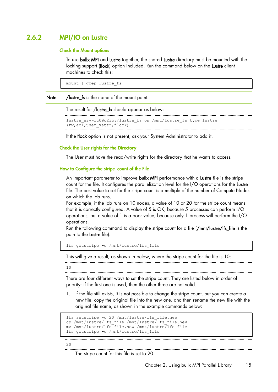## <span id="page-20-0"></span>**2.6.2 MPI/IO on Lustre**

### **Check the Mount options**

To use bullx MPI and Lustre together, the shared Lustre directory must be mounted with the locking support (flock) option included. Run the command below on the Lustre client machines to check this:

mount | grep lustre\_fs

Note /lustre\_fs is the name of the mount point.

The result for /lustre\_fs should appear as below:

```
lustre srv-ic0@o2ib:/lustre fs on /mnt/lustre fs type lustre
(rw, acl, user_xattr, flock)
```
If the flock option is not present, ask your System Administrator to add it.

### **Check the User rights for the Directory**

The User must have the read/write rights for the directory that he wants to access.

#### **How to Configure the stripe\_count of the File**

An important parameter to improve bullx MPI performance with a Lustre file is the stripe count for the file. It configures the parallelization level for the I/O operations for the Lustre file. The best value to set for the stripe count is a multiple of the number of Compute Nodes on which the job runs.

For example, if the job runs on 10 nodes, a value of 10 or 20 for the stripe count means that it is correctly configured. A value of 5 is OK, because 5 processes can perform I/O operations, but a value of 1 is a poor value, because only 1 process will perform the I/O operations.

Run the following command to display the stripe count for a file (/mnt/lustre/lfs\_file is the path to the Lustre file):

lfs getstripe -c /mnt/lustre/lfs\_file

This will give a result, as shown in below, where the stripe count for the file is 10:

 $1<sub>0</sub>$ 

There are four different ways to set the stripe count. They are listed below in order of priority: if the first one is used, then the other three are not valid.

1. If the file still exists, it is not possible to change the stripe count, but you can create a new file, copy the original file into the new one, and then rename the new file with the original file name, as shown in the example commands below:

```
lfs setstripe -c 20 /mnt/lustre/lfs file.new
cp /mnt/lustre/lfs_file /mnt/lustre/lfs_file.new
mv /mnt/lustre/lfs_file.new /mnt/lustre/lfs file
lfs getstripe -c /mnt/lustre/lfs_file
```
#### $20$

The stripe count for this file is set to 20.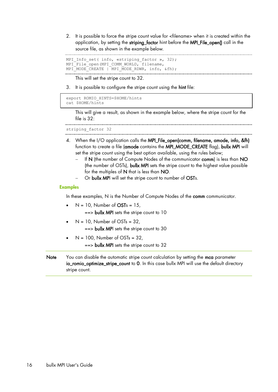2. It is possible to force the stripe count value for <filename> when it is created within the application, by setting the striping\_factor hint before the MPI\_File\_open() call in the source file, as shown in the example below. 

```
MPI Info set( info, «striping factor », 32);
MPI<sup>-</sup>File<sup>-</sup>open(MPI_COMM_WORLD, filename,
MPI_MODE_CREATE | MPI_MODE_RDWR, info, &fh);
```
This will set the stripe count to 32.

3. It is possible to configure the stripe count using the hint file:

```
export ROMIO HINTS=$HOME/hints
cat $HOME/hints
```
This will give a result, as shown in the example below, where the stripe count for the file is 32:

striping factor 32 

- 4. When the I/O application calls the MPI File open(comm, filename, amode, info, &fh) function to create a file (amode contains the MPI\_MODE\_CREATE flag), bullx MPI will set the stripe count using the best option available, using the rules below;
	- If N (the number of Compute Nodes of the communicator comm) is less than NO (the number of OSTs), bullx MPI sets the stripe count to the highest value possible for the multiples of N that is less than NO.
	- Or bullx MPI will set the stripe count to number of OSTs.

### **Examples**

In these examples, N is the Number of Compute Nodes of the comm communicator.

- $N = 10$ , Number of  $OSTs = 15$ , ==> bullx MPI sets the stripe count to 10
- $N = 10$ , Number of OSTs = 32, ==> bullx MPI sets the stripe count to 30
- $N = 100$ . Number of OSTs =  $32$ . ==> bullx MPI sets the stripe count to 32
- Note You can disable the automatic stripe count calculation by setting the mca parameter io\_romio\_optimize\_stripe\_count to 0. In this case bullx MPI will use the default directory stripe count.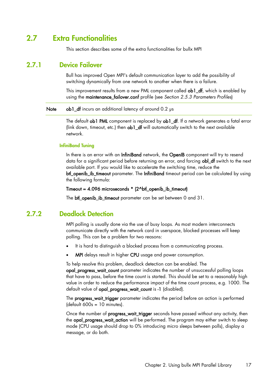## <span id="page-22-0"></span>**2.7 Extra Functionalities**

This section describes some of the extra functionalities for bullx MPI

## <span id="page-22-1"></span>**2.7.1 Device Failover**

Bull has improved Open MPI's default communication layer to add the possibility of switching dynamically from one network to another when there is a failure.

This improvement results from a new PML component called ob1\_df, which is enabled by using the maintenance\_failover.conf profile (see *Section [2.5.3](#page-17-0) [Parameters Profiles](#page-17-0)*)

### Note ob1\_df incurs an additional latency of around 0.2 µs

The default ob1 PML component is replaced by ob1 df. If a network generates a fatal error (link down, timeout, etc.) then **ob1\_df** will automatically switch to the next available network.

### **InfiniBand Tuning**

In there is an error with an InfiniBand network, the OpenIB component will try to resend data for a significant period before returning an error, and forcing obl\_df switch to the next available port. If you would like to accelerate the switching time, reduce the btl\_openib\_ib\_timeout parameter. The InfiniBand timeout period can be calculated by using the following formula:

### Timeout = 4.096 microseconds \* (2^btl\_openib\_ib\_timeout)

The btl\_openib\_ib\_timeout parameter can be set between 0 and 31.

### <span id="page-22-2"></span>**2.7.2 Deadlock Detection**

MPI polling is usually done via the use of busy loops. As most modern interconnects communicate directly with the network card in userspace, blocked processes will keep polling. This can be a problem for two reasons:

- It is hard to distinguish a blocked process from a communicating process.
- MPI delays result in higher CPU usage and power consumption.

To help resolve this problem, deadlock detection can be enabled. The

opal\_progress\_wait\_count parameter indicates the number of unsuccessful polling loops that have to pass, before the time count is started. This should be set to a reasonably high value in order to reduce the performance impact of the time count process, e.g. 1000. The default value of opal\_progress\_wait\_count is -1 (disabled).

The progress\_wait\_trigger parameter indicates the period before an action is performed (default 600s = 10 minutes).

Once the number of progress\_wait\_trigger seconds have passed without any activity, then the opal\_progress\_wait\_action will be performed. The program may either switch to sleep mode (CPU usage should drop to 0% introducing micro sleeps between polls), display a message, or do both.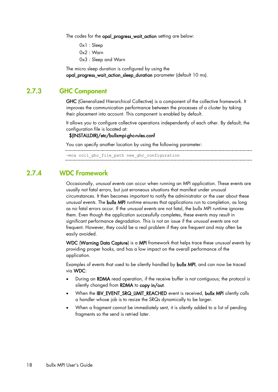The codes for the opal\_progress\_wait\_action setting are below:

- 0x1 : Sleep
- 0x2 : Warn
- 0x3 : Sleep and Warn

The micro sleep duration is configured by using the opal\_progress\_wait\_action\_sleep\_duration parameter (default 10 ms).

## <span id="page-23-0"></span>**2.7.3 GHC Component**

GHC (Generalized Hierarchical Collective) is a component of the collective framework. It improves the communication performance between the processes of a cluster by taking their placement into account. This component is enabled by default.

It allows you to configure collective operations independently of each other. By default, the configuration file is located at:

### \$(INSTALLDIR)/etc/bullxmpi-ghc-rules.conf

You can specify another location by using the following parameter:

```
-mca coll_ghc_file_path new_ghc_configuration
```
## <span id="page-23-1"></span>**2.7.4 WDC Framework**

Occasionally, *unusual events* can occur when running an MPI application. These events are usually not fatal errors, but just erroneous situations that manifest under unusual circumstances. It then becomes important to notify the administrator or the user about these *unusual events*. The bullx MPI runtime ensures that applications run to completion, as long as no fatal errors occur. If the *unusual events* are not fatal, the bullx MPI runtime ignores them. Even though the application successfully completes, these events may result in significant performance degradation. This is not an issue if the *unusual events* are not frequent. However, they could be a real problem if they are frequent and may often be easily avoided.

WDC (Warning Data Capture) is a MPI framework that helps trace these *unusual events* by providing proper hooks, and has a low impact on the overall performance of the application.

Examples of events that used to be silently handled by bullx MPI, and can now be traced via WDC:

- During an RDMA read operation, if the receive buffer is not contiguous; the protocol is silently changed from RDMA to copy in/out.
- When the IBV\_EVENT\_SRQ\_LIMIT\_REACHED event is received, bullx MPI silently calls a handler whose job is to resize the SRQs dynamically to be larger.
- When a fragment cannot be immediately sent, it is silently added to a list of pending fragments so the send is retried later.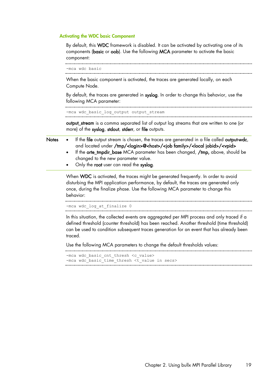### **Activating the WDC basic Component**



can be used to condition subsequent traces generation for an event that has already been traced.

Use the following MCA parameters to change the default thresholds values:

```
-mca wdc_basic_cnt_thresh <c_value>
-mca wdc_basic_time_thresh <t_value in secs>
```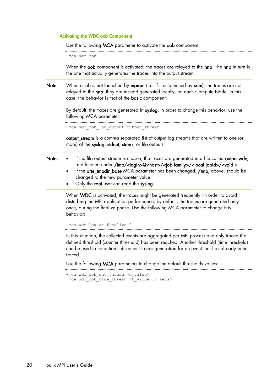### **Activating the WDC oob Component**

Use the following MCA parameter to activate the oob component:

-mca wdc oob

When the **oob** component is activated, the traces are relayed to the **hnp**. The **hnp** in turn is the one that actually generates the traces into the output stream.

Note When a job is not launched by mpirun (i.e. if it is launched by srun), the traces are not relayed to the hnp: they are instead generated locally, on each Compute Node. In this case, the behavior is that of the basic component.

By default, the traces are generated in syslog. In order to change this behavior, use the following MCA parameter:

-mca wdc\_oob\_log\_output output\_stream

output\_stream is a comma separated list of output log streams that are written to one (or more) of the syslog, stdout, stderr, or file outputs.

- Notes If the file output stream is chosen, the traces are generated in a file called output-wdc, and located under /tmp/<login>@<host>/<job family>/<local jobid>/<vpid >
	- If the **orte tmpdir base** MCA parameter has been changed, **/tmp,** above, should be changed to the new parameter value.
	- Only the root user can read the syslog.

When WDC is activated, the traces might be generated frequently. In order to avoid disturbing the MPI application performance, by default, the traces are generated only once, during the finalize phase. Use the following MCA parameter to change this behavior:

-mca wdc log at finalize 0

In this situation, the collected events are aggregated per MPI process and only traced if a defined threshold (counter threshold) has been reached. Another threshold (time threshold) can be used to condition subsequent traces generation for an event that has already been traced.

Use the following MCA parameters to change the default thresholds values:

```
-mca wdc_oob_cnt_thresh <c_value>
-mca wdc oob time thresh <t value in secs>
```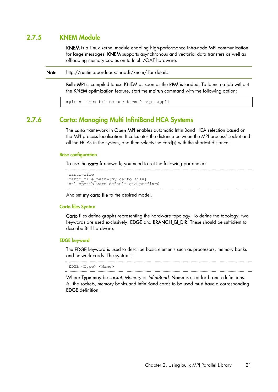### <span id="page-26-0"></span>**2.7.5 KNEM Module**

KNEM is a Linux kernel module enabling high-performance intra-node MPI communication for large messages. KNEM supports asynchronous and vectorial data transfers as well as offloading memory copies on to Intel I/OAT hardware.

Note http://runtime.bordeaux.inria.fr/knem/ for details.

Bullx MPI is compiled to use KNEM as soon as the RPM is loaded. To launch a job without the KNEM optimization feature, start the mpirun command with the following option:

```
mpirun --mca btl_sm_use_knem 0 ompi_appli
```
### <span id="page-26-1"></span>**2.7.6 Carto: Managing Multi InfiniBand HCA Systems**

The carto framework in Open MPI enables automatic InfiniBand HCA selection based on the MPI process localisation. It calculates the distance between the MPI process' socket and all the HCAs in the system, and then selects the card(s) with the shortest distance.

#### **Base configuration**

To use the carto framework, you need to set the following parameters:

```
carto=file
carto_file_path=[my carto file]
btl_openib_warn_default_gid_prefix=0
```
And set **my carto file** to the desired model.

### **Carto files Syntax**

Carto files define graphs representing the hardware topology. To define the topology, two keywords are used exclusively: EDGE and BRANCH\_BI\_DIR. These should be sufficient to describe Bull hardware.

### **EDGE keyword**

The EDGE keyword is used to describe basic elements such as processors, memory banks and network cards. The syntax is:

EDGE <Type> <Name> 

Where Type may be *socket*, *Memory* or *InfiniBand*. Name is used for branch definitions. All the sockets, memory banks and InfiniBand cards to be used must have a corresponding EDGE definition.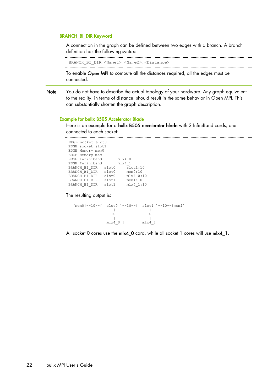### **BRANCH\_BI\_DIR Keyword**

A connection in the graph can be defined between two edges with a branch. A branch definition has the following syntax:

BRANCH\_BI\_DIR <Name1> <Name2>:<Distance>

To enable Open MPI to compute all the distances required, all the edges must be connected.

Note You do not have to describe the actual topology of your hardware. Any graph equivalent to the reality, in terms of distance, should result in the same behavior in Open MPI. This can substantially shorten the graph description.

#### **Example for bullx B505 Accelerator Blade**

Here is an example for a bullx B505 accelerator blade with 2 InfiniBand cards, one connected to each socket:

| EDGE socket slot0 |             |               |
|-------------------|-------------|---------------|
| EDGE socket slot1 |             |               |
| EDGE Memory mem0  |             |               |
| EDGE Memory mem1  |             |               |
| EDGE Infiniband   |             | $mlx4$ 0      |
| EDGE Infiniband   |             | mlx4 1        |
| BRANCH BI DIR     | slot0       | slot1:10      |
| BRANCH BI DIR     | $s$ lot $0$ | $m$ em $0:10$ |
| BRANCH BI DIR     | $s$ lot $0$ | mlx4 0:10     |
| BRANCH BI DIR     | slot1       | $m$ em $1:10$ |
| BRANCH BI DIR     | slot1       | mlx4 1:10     |
|                   |             |               |

The resulting output is:

 [mem0]--10--[ slot0 ]--10--[ slot1 ]--10--[mem1] | | 10 10 | | [ mlx4\_0 ] [ mlx4\_1 ] 

All socket 0 cores use the mlx4\_0 card, while all socket 1 cores will use mlx4\_1.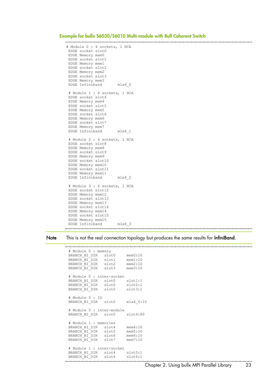#### **Example for bullx S6030/S6010 Multi-module with Bull Coherent Switch**

```
# Module 0 : 4 sockets, 1 HCA
 EDGE socket slot0
 EDGE Memory mem0
 EDGE socket slot1
 EDGE Memory mem1
 EDGE socket slot2
 EDGE Memory mem2
 EDGE socket slot3
 EDGE Memory mem3
 EDGE Infiniband mlx4 0
 # Module 1 : 4 sockets, 1 HCA
 EDGE socket slot4
 EDGE Memory mem4
 EDGE socket slot5
 EDGE Memory mem5
 EDGE socket slot6
 EDGE Memory mem6
 EDGE socket slot7
 EDGE Memory mem7
 EDGE Infiniband mlx4 1
 # Module 2 : 4 sockets, 1 HCA
 EDGE socket slot8
 EDGE Memory mem8
 EDGE socket slot9
 EDGE Memory mem9
 EDGE socket slot10
 EDGE Memory mem10
 EDGE socket slot11
 EDGE Memory mem11
 EDGE Infiniband mlx4 2
 # Module 3 : 4 sockets, 1 HCA
 EDGE socket slot12
 EDGE Memory mem12
 EDGE socket slot13
 EDGE Memory mem13
 EDGE socket slot14
 EDGE Memory mem14
 EDGE socket slot15
 EDGE Memory mem15
EDGE Infiniband mlx4 3
```


Note This is not the real connection topology but produces the same results for InfiniBand.

# Module 0 : memory BRANCH\_BI\_DIR slot0 mem0:10 BRANCH\_BI\_DIR slot1 mem1:10 BRANCH\_BI\_DIR slot2 mem2:10 BRANCH\_BI\_DIR slot3 mem3:10 # Module 0 : inter-socket BRANCH\_BI\_DIR slot0 slot1:1 BRANCH\_BI\_DIR slot0 slot2:1 BRANCH\_BI\_DIR slot0 slot3:1 # Module 0 : IO BRANCH\_BI\_DIR slot0 mlx4\_0:10 # Module 0 : inter-module BRANCH\_BI\_DIR slot0 slot4:80 # Module 1 : memories BRANCH\_BI\_DIR slot4 mem4:10 BRANCH\_BI\_DIR slot5 mem5:10 BRANCH BI DIR slot6 mem6:10 BRANCH BI DIR slot7 mem7:10 # Module 1 : inter-socket BRANCH\_BI\_DIR slot4 slot5:1 BRANCH BI DIR slot4 slot6:1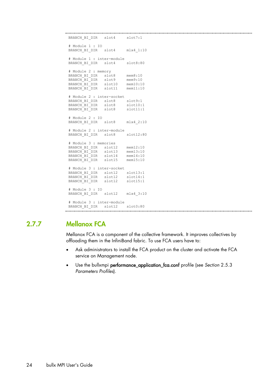```
BRANCH_BI_DIR slot4 slot7:1
 # Module 1 : IO
BRANCH_BI_DIR slot4 mlx4_1:10
 # Module 1 : inter-module
BRANCH_BI_DIR slot4 slot8:80
# Module 2 : memory
 BRANCH_BI_DIR slot8 mem8:10
 BRANCH_BI_DIR slot9 mem9:10
 BRANCH BI DIR slot10 mem10:10
 BRANCH BI DIR slot11 mem11:10
 # Module 2 : inter-socket
 BRANCH_BI_DIR slot8 slot9:1
 BRANCH_BI_DIR slot8 slot10:1
 BRANCH_BI_DIR slot8 slot11:1
 # Module 2 : IO
BRANCH_BI_DIR slot8 mlx4_2:10
 # Module 2 : inter-module
BRANCH_BI_DIR slot8
 # Module 3 : memories
 BRANCH_BI_DIR slot12 mem12:10
 BRANCH_BI_DIR slot13 mem13:10
 BRANCH BI DIR slot14 mem14:10
 BRANCH_BI_DIR slot15 mem15:10
 # Module 3 : inter-socket
 BRANCH_BI_DIR slot12 slot13:1
 BRANCH_BI_DIR slot12 slot14:1
 BRANCH_BI_DIR slot12 slot15:1
 # Module 3 : IO
BRANCH_BI_DIR slot12 mlx4_3:10
 # Module 3 : inter-module
BRANCH_BI_DIR slot12 slot0:80
```
## <span id="page-29-0"></span>**2.7.7 Mellanox FCA**

Mellanox FCA is a component of the collective framework. It improves collectives by offloading them in the InfiniBand fabric. To use FCA users have to:

- Ask administrators to install the FCA product on the cluster and activate the FCA service on Management node.
- Use the bullxmpi performance\_application\_fca.conf profile (see *Section* [2.5.3](#page-17-0) *[Parameters Profiles](#page-17-0)*).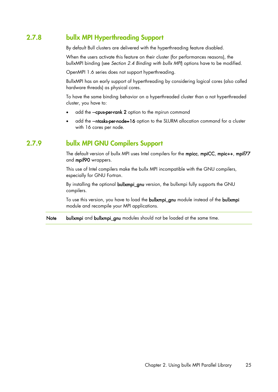## <span id="page-30-0"></span>**2.7.8 bullx MPI Hyperthreading Support**

By default Bull clusters are delivered with the hyperthreading feature disabled.

When the users activate this feature on their cluster (for performances reasons), the bullxMPI binding (see *Section [2.4](#page-14-0) [Binding with bullx MPI](#page-14-0)*) options have to be modified.

OpenMPI 1.6 series does not support hyperthreading.

BullxMPI has an early support of hyperthreading by considering logical cores (also called hardware threads) as physical cores.

To have the same binding behavior on a hyperthreaded cluster than a not hyperthreaded cluster, you have to:

- add the **--**cpus-per-rank 2 option to the mpirun command
- add the **--**ntasks-per-node=16 option to the SLURM allocation command for a cluster with 16 cores per node.

## <span id="page-30-1"></span>**2.7.9 bullx MPI GNU Compilers Support**

The default version of bullx MPI uses Intel compilers for the mpicc, mpiCC, mpic++, mpif77 and mpif90 wrappers.

This use of Intel compilers make the bullx MPI incompatible with the GNU compilers, especially for GNU Fortran.

By installing the optional bullxmpi\_gnu version, the bullxmpi fully supports the GNU compilers.

To use this version, you have to load the bullxmpi\_gnu module instead of the bullxmpi module and recompile your MPI applications.

Note bullxmpi and bullxmpi\_gnu modules should not be loaded at the same time.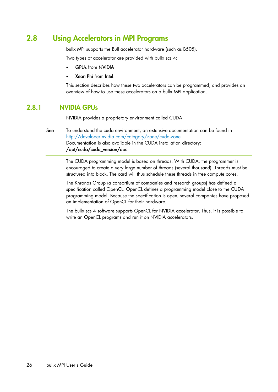## <span id="page-31-0"></span>**2.8 Using Accelerators in MPI Programs**

bullx MPI supports the Bull accelerator hardware (such as B505).

Two types of accelerator are provided with bullx scs 4:

- GPUs from NVIDIA
- Xeon Phi from Intel.

This section describes how these two accelerators can be programmed, and provides an overview of how to use these accelerators on a bullx MPI application.

### <span id="page-31-1"></span>**2.8.1 NVIDIA GPUs**

NVIDIA provides a proprietary environment called CUDA.

See To understand the cuda environment, an extensive documentation can be found in <http://developer.nvidia.com/category/zone/cuda-zone> Documentation is also available in the CUDA installation directory: /opt/cuda/cuda\_version/doc

> The CUDA programming model is based on threads. With CUDA, the programmer is encouraged to create a very large number of threads (several thousand). Threads must be structured into block. The card will thus schedule these threads in free compute cores.

The Khronos Group (a consortium of companies and research groups) has defined a specification called OpenCL. OpenCL defines a programming model close to the CUDA programming model. Because the specification is open, several companies have proposed an implementation of OpenCL for their hardware.

The bullx scs 4 software supports OpenCL for NVIDIA accelerator. Thus, it is possible to write an OpenCL programs and run it on NVIDIA accelerators.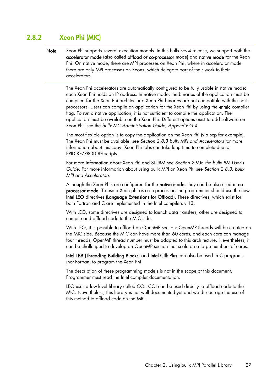### <span id="page-32-0"></span>**2.8.2 Xeon Phi (MIC)**

Note Xeon Phi supports several execution models. In this bullx scs 4 release, we support both the accelerator mode (also called offload or co-processor mode) and native mode for the Xeon Phi. On native mode, there are MPI processes on Xeon Phi, where in accelerator mode there are only MPI processes on Xeons, which delegate part of their work to their accelerators.

The Xeon Phi accelerators are automatically configured to be fully usable in native mode: each Xeon Phi holds an IP address. In native mode, the binaries of the application must be compiled for the Xeon Phi architecture: Xeon Phi binaries are not compatible with the hosts processors. Users can compile an application for the Xeon Phi by using the -mmic compiler flag. To run a native application, it is not sufficient to compile the application. The application must be available on the Xeon Phi. Different options exist to add software on Xeon Phi (see the *bullx MC Administration Guide, Appendix G.4*).

The most flexible option is to copy the application on the Xeon Phi (via scp for example). The Xeon Phi must be available: see *Section [2.8.3](#page-32-1) [bullx MPI and Accelerators](#page-33-0)* for more information about this copy. Xeon Phi jobs can take long time to complete due to EPILOG/PROLOG scripts.

For more information about Xeon Phi and SLURM see *Section 2.9* in *the bullx BM User's Guide*. For more information about using bullx MPI on Xeon Phi see *Section [2.8.3](#page-32-1)*. *[bullx](#page-33-0)  [MPI and Accelerators](#page-33-0)*

Although the Xeon Phis are configured for the native mode, they can be also used in coprocessor mode. To use a Xeon phi as a co-processor, the programmer should use the new Intel LEO directives (Language Extensions for Offload). These directives, which exist for both Fortran and C are implemented in the Intel compilers v.13.

With LEO, some directives are designed to launch data transfers, other are designed to compile and offload code to the MIC side.

With LEO, it is possible to offload an OpenMP section: OpenMP threads will be created on the MIC side. Because the MIC can have more than 60 cores, and each core can manage four threads, OpenMP thread number must be adapted to this architecture. Nevertheless, it can be challenged to develop an OpenMP section that scale on a large numbers of cores.

Intel TBB (Threading Building Blocks) and Intel Cilk Plus can also be used in C programs (not Fortran) to program the Xeon Phi.

The description of these programming models is not in the scope of this document. Programmer must read the Intel compiler documentation.

<span id="page-32-1"></span>LEO uses a low-level library called COI. COI can be used directly to offload code to the MIC. Nevertheless, this library is not well documented yet and we discourage the use of this method to offload code on the MIC.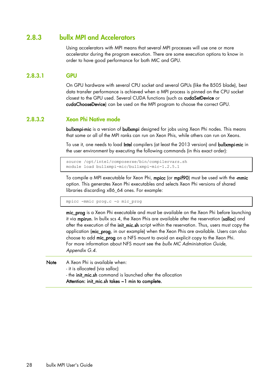## <span id="page-33-0"></span>**2.8.3 bullx MPI and Accelerators**

Using accelerators with MPI means that several MPI processes will use one or more accelerator during the program execution. There are some execution options to know in order to have good performance for both MIC and GPU.

### **2.8.3.1 GPU**

On GPU hardware with several CPU socket and several GPUs (like the B505 blade), best data transfer performance is achieved when a MPI process is pinned on the CPU socket closest to the GPU used. Several CUDA functions (such as cudaSetDevice or cudaChooseDevice) can be used on the MPI program to choose the correct GPU.

### **2.8.3.2 Xeon Phi Native mode**

bullxmpi-mic is a version of bullxmpi designed for jobs using Xeon Phi nodes. This means that some or all of the MPI ranks can run on Xeon Phis, while others can run on Xeons.

To use it, one needs to load Intel compilers (at least the 2013 version) and bullxmpi-mic in the user environment by executing the following commands (in this exact order):

```
source /opt/intel/composerxe/bin/compilervars.sh
module load bullxmpi-mic/bullxmpi-mic-1.2.5.1
```
To compile a MPI executable for Xeon Phi, mpicc (or mpif90) must be used with the -mmic option. This generates Xeon Phi executables and selects Xeon Phi versions of shared libraries discarding x86\_64 ones. For example:

mpicc -mmic prog.c -o mic\_prog

mic\_prog is a Xeon Phi executable and must be available on the Xeon Phi before launching it via mpirun. In bullx scs 4, the Xeon Phis are available after the reservation (salloc) and after the execution of the init\_mic.sh script within the reservation. Thus, users must copy the application (mic\_prog, in our example) when the Xeon Phis are available. Users can also choose to add mic\_prog on a NFS mount to avoid an explicit copy to the Xeon Phi. For more information about NFS mount see the *bullx MC Administration Guide, Appendix G.4*.

Note A Xeon Phi is available when: - it is allocated (via salloc) - the init\_mic.sh command is launched after the allocation Attention: init\_mic.sh takes ~1 min to complete.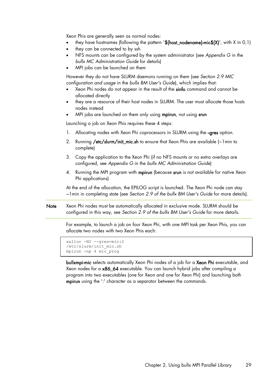Xeon Phis are generally seen as normal nodes:

- they have hostnames (following the pattern '\${host\_nodename}-mic\${X}', with X in 0,1)
- they can be connected to by ssh
- NFS mounts can be configured by the system administrator (see *Appendix G* in the *bullx MC Administration Guide* for details)
- MPI jobs can be launched on them

However they do not have SLURM daemons running on them (see *Section 2.9 MIC configuration and usage* in the *bullx BM User's Guide*), which implies that:

- Xeon Phi nodes do not appear in the result of the sinfo command and cannot be allocated directly
- they are a resource of their host nodes in SLURM. The user must allocate those hosts nodes instead
- MPI iobs are launched on them only using mpirun, not using srun

Launching a job on Xeon Phis requires these 4 steps:

- 1. Allocating nodes with Xeon Phi coprocessors in SLURM using the -gres option.
- 2. Running /etc/slurm/init\_mic.sh to ensure that Xeon Phis are available (~1min to complete)
- 3. Copy the application to the Xeon Phi (if no NFS mounts or no extra overlays are configured, see *Appendix G* in the *bullx MC Administration Guide*)
- 4. Running the MPI program with mpirun (because srun is not available for native Xeon Phi applications)

At the end of the allocation, the EPILOG script is launched. The Xeon Phi node can stay ~1min in completing state (see *Section 2.9 of the bullx BM User's Guide* for more details).

Note Xeon Phi nodes must be automatically allocated in exclusive mode. SLURM should be configured in this way, see *Section 2.9 of the bullx BM User's Guide* for more details.

> For example, to launch a job on four Xeon Phi, with one MPI task per Xeon Phis, you can allocate two nodes with two Xeon Phis each:

```
salloc -N2 --gres=mic:2
/etc/slurm/init_mic.sh
mpirun -np 4 mic_prog
```
bullxmpi-mic selects automatically Xeon Phi nodes of a job for a Xeon Phi executable, and Xeon nodes for a x86\_64 executable. You can launch hybrid jobs after compiling a program into two executables (one for Xeon and one for Xeon Phi) and launching both mpirun using the ':' character as a separator between the commands.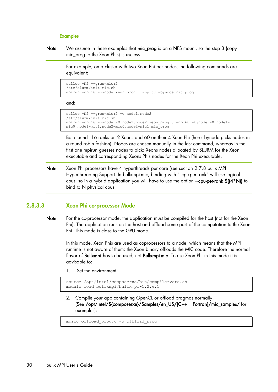### **Examples**

Note We assume in these examples that **mic\_prog** is on a NFS mount, so the step 3 (copy mic\_prog to the Xeon Phis) is useless.

For example, on a cluster with two Xeon Phi per nodes, the following commands are equivalent:

```
salloc -N2 --gres=mic:2
/etc/slurm/init_mic.sh 
mpirun -np 16 -bynode xeon_prog : -np 60 -bynode mic_prog
```
and:

```
salloc -N2 --qres=mic:2 -w node1, node2
/etc/slurm/init_mic.sh
mpirun -np 16 -bynode -H node1,node2 xeon_prog : -np 60 -bynode -H node1-
mic0,node1-mic1,node2-mic0,node2-mic1 mic_prog
```
Both launch 16 ranks on 2 Xeons and 60 on their 4 Xeon Phi (here -bynode picks nodes in a round robin fashion). Nodes are chosen manually in the last command, whereas in the first one mpirun guesses nodes to pick: Xeons nodes allocated by SLURM for the Xeon executable and corresponding Xeons Phis nodes for the Xeon Phi executable.

Note Xeon Phi processors have 4 hyperthreads per core (see section [2.7.8](#page-30-0) bullx MPI [Hyperthreading Support.](#page-30-0) In bullxmpi-mic, binding with "-cpu-per-rank" will use logical cpus, so in a hybrid application you will have to use the option **--**cpu-per-rank \$((4\*N)) to bind to N physical cpus.

### **2.8.3.3 Xeon Phi co-processor Mode**

Note For the co-processor mode, the application must be compiled for the host (not for the Xeon Phi). The application runs on the host and offload some part of the computation to the Xeon Phi. This mode is close to the GPU mode.

In this mode, Xeon Phis are used as coprocessors to a node, which means that the MPI runtime is not aware of them: the Xeon binary offloads the MIC code. Therefore the normal flavor of **Bullxmpi** has to be used, not **Bullxmpi-mic**. To use Xeon Phi in this mode it is advisable to:

1. Set the environment:

```
source /opt/intel/composerxe/bin/compilervars.sh
module load bullxmpi/bullxmpi-1.2.6.1
```
2. Compile your app containing OpenCL or offload pragmas normally. (See /opt/intel/\${composerxe}/Samples/en\_US/[C++ | Fortran]/mic\_samples/ for examples):

mpicc offload\_prog.c -o offload\_prog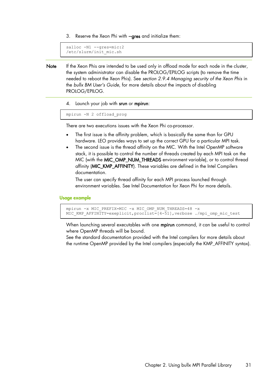3. Reserve the Xeon Phi with **--**gres and initialize them:

```
salloc -N1 --gres=mic:2
/etc/slurm/init_mic.sh
```
- Note If the Xeon Phis are intended to be used only in offload mode for each node in the cluster, the system administrator can disable the PROLOG/EPILOG scripts (to remove the time needed to reboot the Xeon Phis). See *section 2.9.4 Managing security of the Xeon Phis* in the *bullx BM User's Guide*, for more details about the impacts of disabling PROLOG/EPILOG.
	- 4. Launch your job with srun or mpirun:

```
mpirun -N 2 offload_prog
```
There are two executions issues with the Xeon Phi co-processor.

- The first issue is the affinity problem, which is basically the same than for GPU hardware. LEO provides ways to set up the correct GPU for a particular MPI task.
- The second issue is the thread affinity on the MIC. With the Intel OpenMP software stack, it is possible to control the number of threads created by each MPI task on the MIC (with the MIC\_OMP\_NUM\_THREADS environment variable), or to control thread affinity (MIC\_KMP\_AFFINITY). These variables are defined in the Intel Compilers documentation.

The user can specify thread affinity for each MPI process launched through environment variables. See Intel Documentation for Xeon Phi for more details.

### **Usage example**

mpirun -x MIC\_PREFIX=MIC -x MIC\_OMP\_NUM\_THREADS=48 -x MIC KMP\_AFFINITY=exeplicit,proclist= $[4-\overline{5}1]$ , verbose ./mpi\_omp\_mic\_test

When launching several executables with one mpirun command, it can be useful to control where OpenMP threads will be bound.

See the standard documentation provided with the Intel compilers for more details about the runtime OpenMP provided by the Intel compilers (especially the KMP\_AFFINITY syntax).